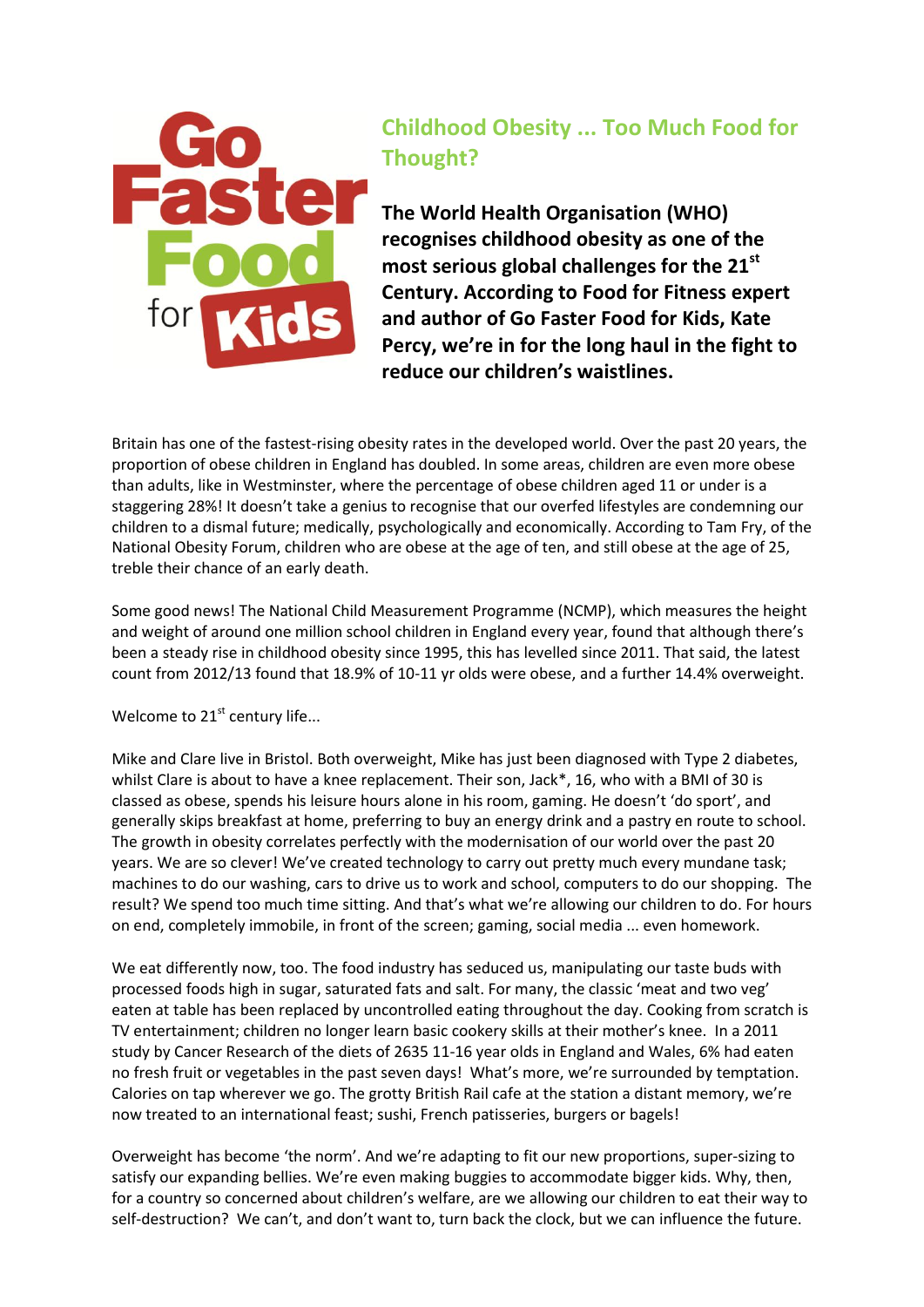

## **Childhood Obesity ... Too Much Food for Thought?**

**The World Health Organisation (WHO) recognises childhood obesity as one of the most serious global challenges for the 21st Century. According to Food for Fitness expert and author of Go Faster Food for Kids, Kate Percy, we're in for the long haul in the fight to reduce our children's waistlines.**

Britain has one of the fastest-rising obesity rates in the developed world. Over the past 20 years, the proportion of obese children in England has doubled. In some areas, children are even more obese than adults, like in Westminster, where the percentage of obese children aged 11 or under is a staggering 28%! It doesn't take a genius to recognise that our overfed lifestyles are condemning our children to a dismal future; medically, psychologically and economically. According to Tam Fry, of the National Obesity Forum, children who are obese at the age of ten, and still obese at the age of 25, treble their chance of an early death.

Some good news! The National Child Measurement Programme (NCMP), which measures the height and weight of around one million school children in England every year, found that although there's been a steady rise in childhood obesity since 1995, this has levelled since 2011. That said, the latest count from 2012/13 found that 18.9% of 10-11 yr olds were obese, and a further 14.4% overweight.

Welcome to  $21<sup>st</sup>$  century life...

Mike and Clare live in Bristol. Both overweight, Mike has just been diagnosed with Type 2 diabetes, whilst Clare is about to have a knee replacement. Their son, Jack\*, 16, who with a BMI of 30 is classed as obese, spends his leisure hours alone in his room, gaming. He doesn't 'do sport', and generally skips breakfast at home, preferring to buy an energy drink and a pastry en route to school. The growth in obesity correlates perfectly with the modernisation of our world over the past 20 years. We are so clever! We've created technology to carry out pretty much every mundane task; machines to do our washing, cars to drive us to work and school, computers to do our shopping. The result? We spend too much time sitting. And that's what we're allowing our children to do. For hours on end, completely immobile, in front of the screen; gaming, social media ... even homework.

We eat differently now, too. The food industry has seduced us, manipulating our taste buds with processed foods high in sugar, saturated fats and salt. For many, the classic 'meat and two veg' eaten at table has been replaced by uncontrolled eating throughout the day. Cooking from scratch is TV entertainment; children no longer learn basic cookery skills at their mother's knee. In a 2011 study by Cancer Research of the diets of 2635 11-16 year olds in England and Wales, 6% had eaten no fresh fruit or vegetables in the past seven days! What's more, we're surrounded by temptation. Calories on tap wherever we go. The grotty British Rail cafe at the station a distant memory, we're now treated to an international feast; sushi, French patisseries, burgers or bagels!

Overweight has become 'the norm'. And we're adapting to fit our new proportions, super-sizing to satisfy our expanding bellies. We're even making buggies to accommodate bigger kids. Why, then, for a country so concerned about children's welfare, are we allowing our children to eat their way to self-destruction? We can't, and don't want to, turn back the clock, but we can influence the future.